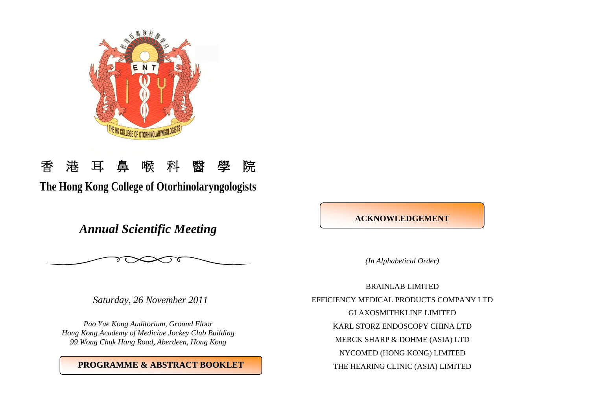

# 香港耳鼻喉科醫學院

**The Hong Kong College of Otorhinolaryngologists**

*Annual Scientific Meeting*



*(In Alphabetical Order)*

*Saturday, 26 November 2011*

*Pao Yue Kong Auditorium, Ground Floor Hong Kong Academy of Medicine Jockey Club Building 99 Wong Chuk Hang Road, Aberdeen, Hong Kong*

# **PROGRAMME & ABSTRACT BOOKLET**

BRAINLAB LIMITED EFFICIENCY MEDICAL PRODUCTS COMPANY LTD GLAXOSMITHKLINE LIMITED KARL STORZ ENDOSCOPY CHINA LTD MERCK SHARP & DOHME (ASIA) LTD NYCOMED (HONG KONG) LIMITED THE HEARING CLINIC (ASIA) LIMITED

**ACKNOWLEDGEMENT**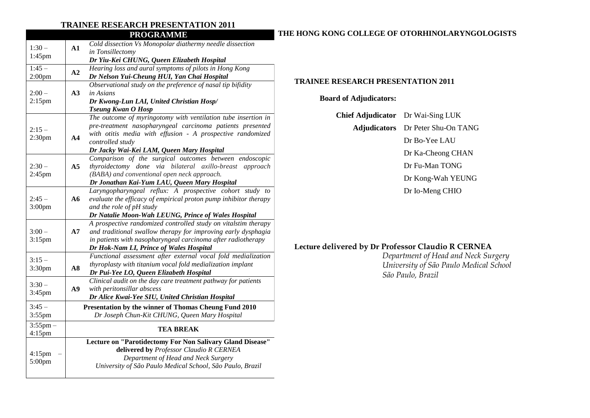## **TRAINEE RESEARCH PRESENTATION 2011**

|                               |                                              | <b>PROGRAMME</b>                                                 |  |
|-------------------------------|----------------------------------------------|------------------------------------------------------------------|--|
| $1:30-$<br>1:45pm             | ${\bf A1}$                                   | Cold dissection Vs Monopolar diathermy needle dissection         |  |
|                               |                                              | in Tonsillectomy                                                 |  |
|                               |                                              | Dr Yiu-Kei CHUNG, Queen Elizabeth Hospital                       |  |
| $1:45-$                       | A2                                           | Hearing loss and aural symptoms of pilots in Hong Kong           |  |
| 2:00 <sub>pm</sub>            |                                              | Dr Nelson Yui-Cheung HUI, Yan Chai Hospital                      |  |
| $2:00-$<br>$2:15$ pm          | A3                                           | Observational study on the preference of nasal tip bifidity      |  |
|                               |                                              | in Asians                                                        |  |
|                               |                                              | Dr Kwong-Lun LAI, United Christian Hosp/                         |  |
|                               |                                              | <b>Tseung Kwan O Hosp</b>                                        |  |
| $2:15-$<br>2:30 <sub>pm</sub> |                                              | The outcome of myringotomy with ventilation tube insertion in    |  |
|                               |                                              | pre-treatment nasopharyngeal carcinoma patients presented        |  |
|                               | A <sub>4</sub>                               | with otitis media with effusion - A prospective randomized       |  |
|                               |                                              | controlled study                                                 |  |
|                               |                                              | Dr Jacky Wai-Kei LAM, Queen Mary Hospital                        |  |
| $2:30-$<br>2:45pm             |                                              | Comparison of the surgical outcomes between endoscopic           |  |
|                               | A5                                           | thyroidectomy done via bilateral axillo-breast approach          |  |
|                               |                                              | (BABA) and conventional open neck approach.                      |  |
|                               | Dr Jonathan Kai-Yum LAU, Queen Mary Hospital |                                                                  |  |
| $2:45-$<br>3:00pm             | A6                                           | Laryngopharyngeal reflux: A prospective cohort study to          |  |
|                               |                                              | evaluate the efficacy of empirical proton pump inhibitor therapy |  |
|                               |                                              | and the role of pH study                                         |  |
|                               |                                              | Dr Natalie Moon-Wah LEUNG, Prince of Wales Hospital              |  |
| $3:00-$<br>$3:15$ pm          | A7                                           | A prospective randomized controlled study on vitalstim therapy   |  |
|                               |                                              | and traditional swallow therapy for improving early dysphagia    |  |
|                               |                                              | in patients with nasopharyngeal carcinoma after radiotherapy     |  |
|                               |                                              | Dr Hok-Nam LI, Prince of Wales Hospital                          |  |
| $3:15-$<br>3:30 <sub>pm</sub> |                                              | Functional assessment after external vocal fold medialization    |  |
|                               | $\overline{AB}$                              | thyroplasty with titanium vocal fold medialization implant       |  |
|                               |                                              | Dr Pui-Yee LO, Queen Elizabeth Hospital                          |  |
| $3:30-$<br>$3:45$ pm          | A9                                           | Clinical audit on the day care treatment pathway for patients    |  |
|                               |                                              | with peritonsillar abscess                                       |  |
|                               |                                              | Dr Alice Kwai-Yee SIU, United Christian Hospital                 |  |
| $3:45-$                       |                                              | Presentation by the winner of Thomas Cheung Fund 2010            |  |
| 3:55pm                        |                                              | Dr Joseph Chun-Kit CHUNG, Queen Mary Hospital                    |  |
| $3:55$ pm –                   |                                              |                                                                  |  |
| 4:15pm                        | <b>TEA BREAK</b>                             |                                                                  |  |
| $4:15$ pm<br>5:00pm           |                                              | Lecture on "Parotidectomy For Non Salivary Gland Disease"        |  |
|                               |                                              | delivered by Professor Claudio R CERNEA                          |  |
|                               |                                              | Department of Head and Neck Surgery                              |  |
|                               |                                              | University of São Paulo Medical School, São Paulo, Brazil        |  |
|                               |                                              |                                                                  |  |

## **THE HONG KONG COLLEGE OF OTORHINOLARYNGOLOGISTS**

#### **TRAINEE RESEARCH PRESENTATION 2011**

**Board of Adjudicators:**

| <b>Chief Adjudicator</b> Dr Wai-Sing LUK |                                          |
|------------------------------------------|------------------------------------------|
|                                          | <b>Adjudicators</b> Dr Peter Shu-On TANG |
|                                          | Dr Bo-Yee LAU                            |
|                                          | Dr Ka-Cheong CHAN                        |
|                                          | Dr Fu-Man TONG                           |
|                                          | Dr Kong-Wah YEUNG                        |
|                                          | Dr Io-Meng CHIO                          |
|                                          |                                          |
|                                          |                                          |

# **Lecture delivered by Dr Professor Claudio R CERNEA**

*Department of Head and Neck Surgery University of São Paulo Medical School São Paulo, Brazil*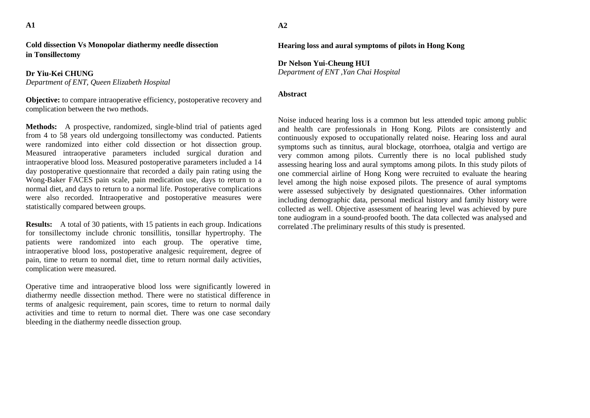**A1** 

**Cold dissection Vs Monopolar diathermy needle dissection in Tonsillectomy**

**Dr Yiu-Kei CHUNG** *Department of ENT, Queen Elizabeth Hospital* 

**Objective:** to compare intraoperative efficiency, postoperative recovery and complication between the two methods.

**Methods:** A prospective, randomized, single-blind trial of patients aged from 4 to 58 years old undergoing tonsillectomy was conducted. Patients were randomized into either cold dissection or hot dissection group. Measured intraoperative parameters included surgical duration and intraoperative blood loss. Measured postoperative parameters included a 14 day postoperative questionnaire that recorded a daily pain rating using the Wong-Baker FACES pain scale, pain medication use, days to return to a normal diet, and days to return to a normal life. Postoperative complications were also recorded. Intraoperative and postoperative measures were statistically compared between groups.

**Results:** A total of 30 patients, with 15 patients in each group. Indications for tonsillectomy include chronic tonsillitis, tonsillar hypertrophy. The patients were randomized into each group. The operative time, intraoperative blood loss, postoperative analgesic requirement, degree of pain, time to return to normal diet, time to return normal daily activities, complication were measured.

Operative time and intraoperative blood loss were significantly lowered in diathermy needle dissection method. There were no statistical difference in terms of analgesic requirement, pain scores, time to return to normal daily activities and time to return to normal diet. There was one case secondary bleeding in the diathermy needle dissection group.

**Hearing loss and aural symptoms of pilots in Hong Kong**

**Dr Nelson Yui-Cheung HUI**  *Department of ENT ,Yan Chai Hospital*

#### **Abstract**

Noise induced hearing loss is a common but less attended topic among public and health care professionals in Hong Kong. Pilots are consistently and continuously exposed to occupationally related noise. Hearing loss and aural symptoms such as tinnitus, aural blockage, otorrhoea, otalgia and vertigo are very common among pilots. Currently there is no local published study assessing hearing loss and aural symptoms among pilots. In this study pilots of one commercial airline of Hong Kong were recruited to evaluate the hearing level among the high noise exposed pilots. The presence of aural symptoms were assessed subjectively by designated questionnaires. Other information including demographic data, personal medical history and family history were collected as well. Objective assessment of hearing level was achieved by pure tone audiogram in a sound-proofed booth. The data collected was analysed and correlated .The preliminary results of this study is presented.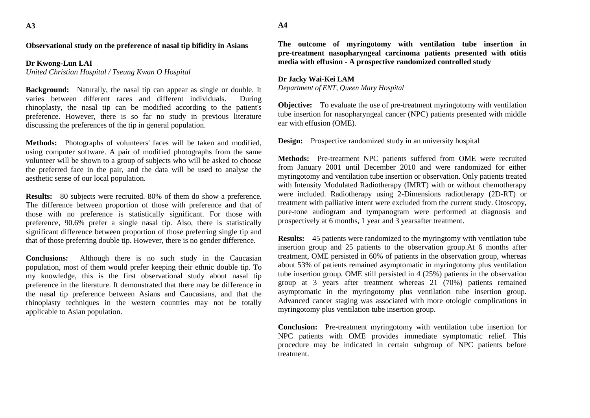#### **Observational study on the preference of nasal tip bifidity in Asians**

#### **Dr Kwong-Lun LAI**

*United Christian Hospital / Tseung Kwan O Hospital* 

**Background:** Naturally, the nasal tip can appear as single or double. It varies between different races and different individuals. During rhinoplasty, the nasal tip can be modified according to the patient's preference. However, there is so far no study in previous literature discussing the preferences of the tip in general population.

**Methods:** Photographs of volunteers' faces will be taken and modified, using computer software. A pair of modified photographs from the same volunteer will be shown to a group of subjects who will be asked to choose the preferred face in the pair, and the data will be used to analyse the aesthetic sense of our local population.

**Results:** 80 subjects were recruited. 80% of them do show a preference. The difference between proportion of those with preference and that of those with no preference is statistically significant. For those with preference, 90.6% prefer a single nasal tip. Also, there is statistically significant difference between proportion of those preferring single tip and that of those preferring double tip. However, there is no gender difference.

**Conclusions:** Although there is no such study in the Caucasian population, most of them would prefer keeping their ethnic double tip. To my knowledge, this is the first observational study about nasal tip preference in the literature. It demonstrated that there may be difference in the nasal tip preference between Asians and Caucasians, and that the rhinoplasty techniques in the western countries may not be totally applicable to Asian population.

**The outcome of myringotomy with ventilation tube insertion in pre-treatment nasopharyngeal carcinoma patients presented with otitis media with effusion - A prospective randomized controlled study**

#### **Dr Jacky Wai-Kei LAM**  *Department of ENT, Queen Mary Hospital*

**Objective:** To evaluate the use of pre-treatment myringotomy with ventilation tube insertion for nasopharyngeal cancer (NPC) patients presented with middle ear with effusion (OME).

**Design:** Prospective randomized study in an university hospital

**Methods:** Pre-treatment NPC patients suffered from OME were recruited from January 2001 until December 2010 and were randomized for either myringotomy and ventilation tube insertion or observation. Only patients treated with Intensity Modulated Radiotherapy (IMRT) with or without chemotherapy were included. Radiotherapy using 2-Dimensions radiotherapy (2D-RT) or treatment with palliative intent were excluded from the current study. Otoscopy, pure-tone audiogram and tympanogram were performed at diagnosis and prospectively at 6 months, 1 year and 3 yearsafter treatment.

**Results:** 45 patients were randomized to the myringtomy with ventilation tube insertion group and 25 patients to the observation group.At 6 months after treatment, OME persisted in 60% of patients in the observation group, whereas about 53% of patients remained asymptomatic in myringotomy plus ventilation tube insertion group. OME still persisted in 4 (25%) patients in the observation group at 3 years after treatment whereas 21 (70%) patients remained asymptomatic in the myringotomy plus ventilation tube insertion group. Advanced cancer staging was associated with more otologic complications in myringotomy plus ventilation tube insertion group.

**Conclusion:** Pre-treatment myringotomy with ventilation tube insertion for NPC patients with OME provides immediate symptomatic relief. This procedure may be indicated in certain subgroup of NPC patients before treatment.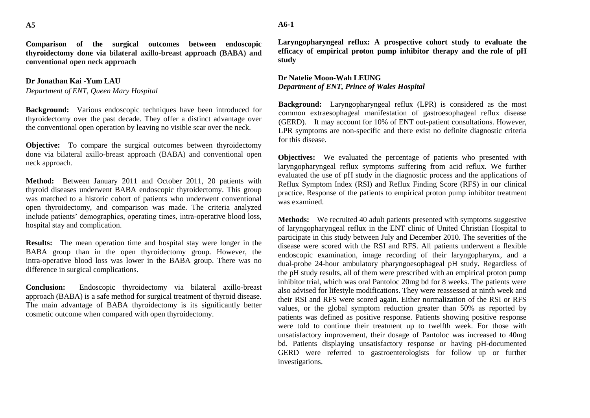**Comparison of the surgical outcomes between endoscopic thyroidectomy done via bilateral axillo-breast approach (BABA) and conventional open neck approach**

#### **Dr Jonathan Kai -Yum LAU**

*Department of ENT, Queen Mary Hospital*

**Background:** Various endoscopic techniques have been introduced for thyroidectomy over the past decade. They offer a distinct advantage over the conventional open operation by leaving no visible scar over the neck.

**Objective:** To compare the surgical outcomes between thyroidectomy done via bilateral axillo-breast approach (BABA) and conventional open neck approach.

**Method:** Between January 2011 and October 2011, 20 patients with thyroid diseases underwent BABA endoscopic thyroidectomy. This group was matched to a historic cohort of patients who underwent conventional open thyroidectomy, and comparison was made. The criteria analyzed include patients' demographics, operating times, intra-operative blood loss, hospital stay and complication.

**Results:** The mean operation time and hospital stay were longer in the BABA group than in the open thyroidectomy group. However, the intra-operative blood loss was lower in the BABA group. There was no difference in surgical complications.

**Conclusion:** Endoscopic thyroidectomy via bilateral axillo-breast approach (BABA) is a safe method for surgical treatment of thyroid disease. The main advantage of BABA thyroidectomy is its significantly better cosmetic outcome when compared with open thyroidectomy.

**Laryngopharyngeal reflux: A prospective cohort study to evaluate the efficacy of empirical proton pump inhibitor therapy and the role of pH study**

#### **Dr Natelie Moon-Wah LEUNG** *Department of ENT, Prince of Wales Hospital*

**Background:** Laryngopharyngeal reflux (LPR) is considered as the most common extraesophageal manifestation of gastroesophageal reflux disease (GERD). It may account for 10% of ENT out-patient consultations. However, LPR symptoms are non-specific and there exist no definite diagnostic criteria for this disease.

**Objectives:** We evaluated the percentage of patients who presented with laryngopharyngeal reflux symptoms suffering from acid reflux. We further evaluated the use of pH study in the diagnostic process and the applications of Reflux Symptom Index (RSI) and Reflux Finding Score (RFS) in our clinical practice. Response of the patients to empirical proton pump inhibitor treatment was examined.

**Methods:** We recruited 40 adult patients presented with symptoms suggestive of laryngopharyngeal reflux in the ENT clinic of United Christian Hospital to participate in this study between July and December 2010. The severities of the disease were scored with the RSI and RFS. All patients underwent a flexible endoscopic examination, image recording of their laryngopharynx, and a dual-probe 24-hour ambulatory pharyngoesophageal pH study. Regardless of the pH study results, all of them were prescribed with an empirical proton pump inhibitor trial, which was oral Pantoloc 20mg bd for 8 weeks. The patients were also advised for lifestyle modifications. They were reassessed at ninth week and their RSI and RFS were scored again. Either normalization of the RSI or RFS values, or the global symptom reduction greater than 50% as reported by patients was defined as positive response. Patients showing positive response were told to continue their treatment up to twelfth week. For those with unsatisfactory improvement, their dosage of Pantoloc was increased to 40mg bd. Patients displaying unsatisfactory response or having pH-documented GERD were referred to gastroenterologists for follow up or further investigations.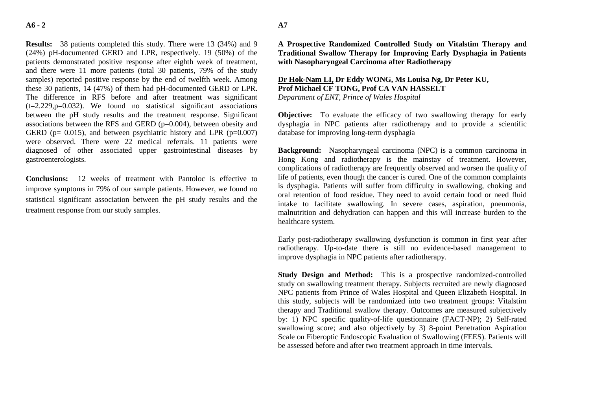**Results:** 38 patients completed this study. There were 13 (34%) and 9 (24%) pH-documented GERD and LPR, respectively. 19 (50%) of the patients demonstrated positive response after eighth week of treatment, and there were 11 more patients (total 30 patients, 79% of the study samples) reported positive response by the end of twelfth week. Among these 30 patients, 14 (47%) of them had pH-documented GERD or LPR. The difference in RFS before and after treatment was significant  $(t=2.229, p=0.032)$ . We found no statistical significant associations between the pH study results and the treatment response. Significant associations between the RFS and GERD (p=0.004), between obesity and GERD ( $p= 0.015$ ), and between psychiatric history and LPR ( $p=0.007$ ) were observed. There were 22 medical referrals. 11 patients were diagnosed of other associated upper gastrointestinal diseases by gastroenterologists.

**Conclusions:** 12 weeks of treatment with Pantoloc is effective to improve symptoms in 79% of our sample patients. However, we found no statistical significant association between the pH study results and the treatment response from our study samples.

**A Prospective Randomized Controlled Study on Vitalstim Therapy and Traditional Swallow Therapy for Improving Early Dysphagia in Patients with Nasopharyngeal Carcinoma after Radiotherapy**

### **Dr Hok-Nam LI, Dr Eddy WONG, Ms Louisa Ng, Dr Peter KU, Prof Michael CF TONG, Prof CA VAN HASSELT** *Department of ENT, Prince of Wales Hospital*

**Objective:** To evaluate the efficacy of two swallowing therapy for early dysphagia in NPC patients after radiotherapy and to provide a scientific database for improving long-term dysphagia

**Background:** Nasopharyngeal carcinoma (NPC) is a common carcinoma in Hong Kong and radiotherapy is the mainstay of treatment. However, complications of radiotherapy are frequently observed and worsen the quality of life of patients, even though the cancer is cured. One of the common complaints is dysphagia. Patients will suffer from difficulty in swallowing, choking and oral retention of food residue. They need to avoid certain food or need fluid intake to facilitate swallowing. In severe cases, aspiration, pneumonia, malnutrition and dehydration can happen and this will increase burden to the healthcare system.

Early post-radiotherapy swallowing dysfunction is common in first year after radiotherapy. Up-to-date there is still no evidence-based management to improve dysphagia in NPC patients after radiotherapy.

**Study Design and Method:** This is a prospective randomized-controlled study on swallowing treatment therapy. Subjects recruited are newly diagnosed NPC patients from Prince of Wales Hospital and Queen Elizabeth Hospital. In this study, subjects will be randomized into two treatment groups: Vitalstim therapy and Traditional swallow therapy. Outcomes are measured subjectively by: 1) NPC specific quality-of-life questionnaire (FACT-NP); 2) Self-rated swallowing score; and also objectively by 3) 8-point Penetration Aspiration Scale on Fiberoptic Endoscopic Evaluation of Swallowing (FEES). Patients will be assessed before and after two treatment approach in time intervals.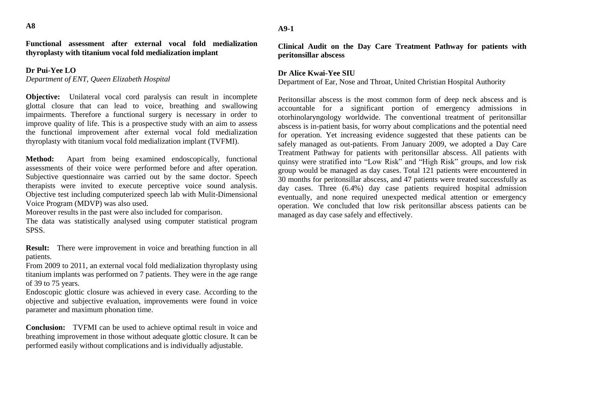**Functional assessment after external vocal fold medialization thyroplasty with titanium vocal fold medialization implant**

#### **Dr Pui-Yee LO**

*Department of ENT, Queen Elizabeth Hospital* 

**Objective:** Unilateral vocal cord paralysis can result in incomplete glottal closure that can lead to voice, breathing and swallowing impairments. Therefore a functional surgery is necessary in order to improve quality of life. This is a prospective study with an aim to assess the functional improvement after external vocal fold medialization thyroplasty with titanium vocal fold medialization implant (TVFMI).

**Method:** Apart from being examined endoscopically, functional assessments of their voice were performed before and after operation. Subjective questionnaire was carried out by the same doctor. Speech therapists were invited to execute perceptive voice sound analysis. Objective test including computerized speech lab with Mulit-Dimensional Voice Program (MDVP) was also used.

Moreover results in the past were also included for comparison.

The data was statistically analysed using computer statistical program SPSS.

**Result:** There were improvement in voice and breathing function in all patients.

From 2009 to 2011, an external vocal fold medialization thyroplasty using titanium implants was performed on 7 patients. They were in the age range of 39 to 75 years.

Endoscopic glottic closure was achieved in every case. According to the objective and subjective evaluation, improvements were found in voice parameter and maximum phonation time.

**Conclusion:** TVFMI can be used to achieve optimal result in voice and breathing improvement in those without adequate glottic closure. It can be performed easily without complications and is individually adjustable.

**A9-1**

**Clinical Audit on the Day Care Treatment Pathway for patients with peritonsillar abscess**

#### **Dr Alice Kwai-Yee SIU**

Department of Ear, Nose and Throat, United Christian Hospital Authority

Peritonsillar abscess is the most common form of deep neck abscess and is accountable for a significant portion of emergency admissions in otorhinolaryngology worldwide. The conventional treatment of peritonsillar abscess is in-patient basis, for worry about complications and the potential need for operation. Yet increasing evidence suggested that these patients can be safely managed as out-patients. From January 2009, we adopted a Day Care Treatment Pathway for patients with peritonsillar abscess. All patients with quinsy were stratified into "Low Risk" and "High Risk" groups, and low risk group would be managed as day cases. Total 121 patients were encountered in 30 months for peritonsillar abscess, and 47 patients were treated successfully as day cases. Three (6.4%) day case patients required hospital admission eventually, and none required unexpected medical attention or emergency operation. We concluded that low risk peritonsillar abscess patients can be managed as day case safely and effectively.